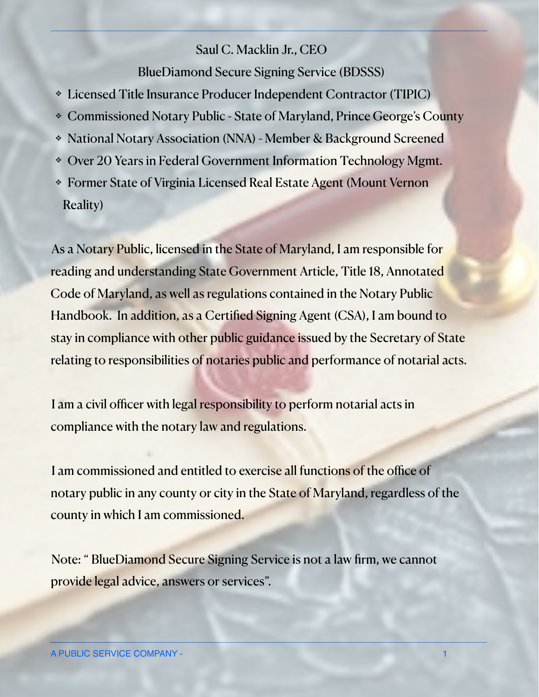## Saul C. Macklin Jr., CEO

BlueDiamond Secure Signing Service (BDSSS)

- ❖ Licensed Title Insurance Producer Independent Contractor (TIPIC)
- ❖ Commissioned Notary Public State of Maryland, Prince George's County
- ❖ National Notary Association (NNA) Member & Background Screened
- ❖ Over 20 Years in Federal Government Information Technology Mgmt.
- ❖ Former State of Virginia Licensed Real Estate Agent (Mount Vernon Reality)

As a Notary Public, licensed in the State of Maryland, I am responsible for reading and understanding State Government Article, Title 18, Annotated Code of Maryland, as well as regulations contained in the Notary Public Handbook. In addition, as a Certified Signing Agent (CSA), I am bound to stay in compliance with other public guidance issued by the Secretary of State [relating to responsibilities of notaries public and performance of notarial acts.](http://www.apple.com) 

I am a civil officer with legal responsibility to perform notarial acts in compliance with the notary law and regulations.

I am commissioned and entitled to exercise all functions of the office of notary public in any county or city in the State of Maryland, regardless of the county in which I am commissioned.

Note: " BlueDiamond Secure Signing Service is not a law firm, we cannot provide legal advice, answers or services".